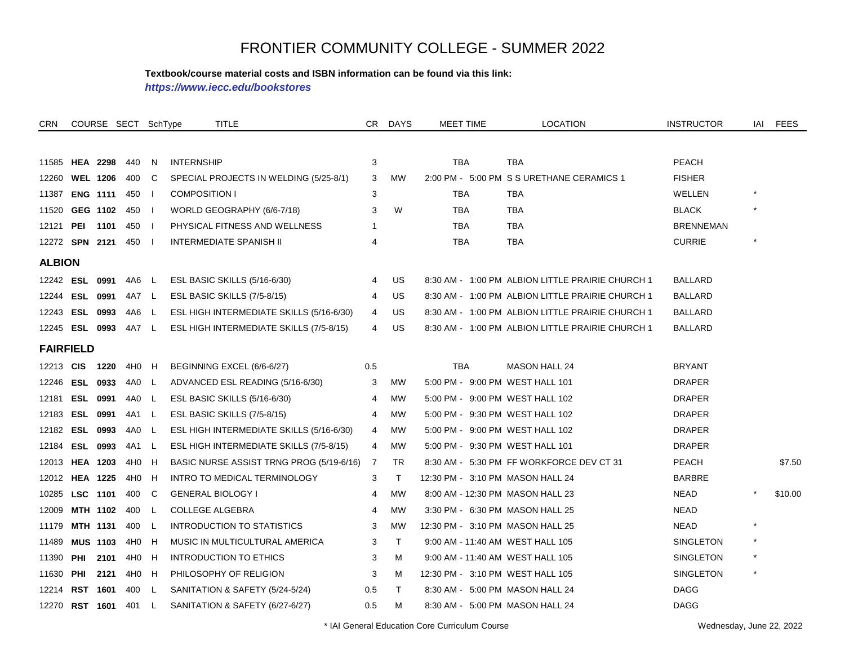#### **Textbook/course material costs and ISBN information can be found via this link:**

*https://www.iecc.edu/bookstores*

| <b>CRN</b>    |                      | COURSE SECT SchType |       |              | <b>TITLE</b>                             | CR. | <b>DAYS</b> | <b>MEET TIME</b>                 | <b>LOCATION</b>                                  | <b>INSTRUCTOR</b> | IAI     | <b>FEES</b> |
|---------------|----------------------|---------------------|-------|--------------|------------------------------------------|-----|-------------|----------------------------------|--------------------------------------------------|-------------------|---------|-------------|
|               |                      |                     |       |              |                                          |     |             |                                  |                                                  |                   |         |             |
| 11585         | <b>HEA 2298</b>      |                     | 440   | N            | <b>INTERNSHIP</b>                        | 3   |             | <b>TBA</b>                       | <b>TBA</b>                                       | <b>PEACH</b>      |         |             |
| 12260         |                      | <b>WEL 1206</b>     | 400   | C            | SPECIAL PROJECTS IN WELDING (5/25-8/1)   | 3   | <b>MW</b>   |                                  | 2:00 PM - 5:00 PM S S URETHANE CERAMICS 1        | <b>FISHER</b>     |         |             |
| 11387         |                      | <b>ENG 1111</b>     | 450   |              | <b>COMPOSITION I</b>                     | 3   |             | TBA                              | <b>TBA</b>                                       | WELLEN            | $\star$ |             |
| 11520         |                      | GEG 1102            | 450   |              | WORLD GEOGRAPHY (6/6-7/18)               | 3   | W           | <b>TBA</b>                       | <b>TBA</b>                                       | <b>BLACK</b>      |         |             |
| 12121         | <b>PEI 1101</b>      |                     | 450   |              | PHYSICAL FITNESS AND WELLNESS            | -1  |             | <b>TBA</b>                       | <b>TBA</b>                                       | <b>BRENNEMAN</b>  |         |             |
|               | 12272 SPN 2121       |                     | 450   | - 1          | <b>INTERMEDIATE SPANISH II</b>           | 4   |             | <b>TBA</b>                       | <b>TBA</b>                                       | <b>CURRIE</b>     | $\star$ |             |
| <b>ALBION</b> |                      |                     |       |              |                                          |     |             |                                  |                                                  |                   |         |             |
|               | 12242 <b>ESL</b>     | 0991                | 4A6   | - L          | ESL BASIC SKILLS (5/16-6/30)             | 4   | US          |                                  | 8:30 AM - 1:00 PM ALBION LITTLE PRAIRIE CHURCH 1 | <b>BALLARD</b>    |         |             |
|               | 12244 ESL 0991       |                     | 4A7 L |              | ESL BASIC SKILLS (7/5-8/15)              | 4   | US          |                                  | 8:30 AM - 1:00 PM ALBION LITTLE PRAIRIE CHURCH 1 | <b>BALLARD</b>    |         |             |
|               | 12243 ESL 0993       |                     | 4A6   | L.           | ESL HIGH INTERMEDIATE SKILLS (5/16-6/30) | 4   | US          |                                  | 8:30 AM - 1:00 PM ALBION LITTLE PRAIRIE CHURCH 1 | BALLARD           |         |             |
|               | 12245 ESL 0993 4A7 L |                     |       |              | ESL HIGH INTERMEDIATE SKILLS (7/5-8/15)  | 4   | US          |                                  | 8:30 AM - 1:00 PM ALBION LITTLE PRAIRIE CHURCH 1 | BALLARD           |         |             |
|               | <b>FAIRFIELD</b>     |                     |       |              |                                          |     |             |                                  |                                                  |                   |         |             |
| 12213 CIS     |                      | 1220                | 4H0   | H            | BEGINNING EXCEL (6/6-6/27)               | 0.5 |             | <b>TBA</b>                       | <b>MASON HALL 24</b>                             | <b>BRYANT</b>     |         |             |
| 12246         |                      | ESL 0933            | 4A0   | L.           | ADVANCED ESL READING (5/16-6/30)         | 3   | MW          | 5:00 PM - 9:00 PM WEST HALL 101  |                                                  | DRAPER            |         |             |
|               | 12181 ESL 0991       |                     | 4A0   | $\perp$      | ESL BASIC SKILLS (5/16-6/30)             | 4   | <b>MW</b>   | 5:00 PM - 9:00 PM WEST HALL 102  |                                                  | DRAPER            |         |             |
| 12183         |                      | ESL 0991            | 4A1   | L.           | ESL BASIC SKILLS (7/5-8/15)              | 4   | <b>MW</b>   | 5:00 PM - 9:30 PM WEST HALL 102  |                                                  | <b>DRAPER</b>     |         |             |
|               | 12182 ESL 0993       |                     | 4A0   | $\mathsf{L}$ | ESL HIGH INTERMEDIATE SKILLS (5/16-6/30) | 4   | <b>MW</b>   | 5:00 PM - 9:00 PM WEST HALL 102  |                                                  | <b>DRAPER</b>     |         |             |
| 12184         |                      | ESL 0993            | 4A1   | $\mathsf{L}$ | ESL HIGH INTERMEDIATE SKILLS (7/5-8/15)  | 4   | <b>MW</b>   | 5:00 PM - 9:30 PM WEST HALL 101  |                                                  | <b>DRAPER</b>     |         |             |
| 12013         | <b>HEA 1203</b>      |                     | 4H0   | H            | BASIC NURSE ASSIST TRNG PROG (5/19-6/16) | 7   | <b>TR</b>   |                                  | 8:30 AM - 5:30 PM FF WORKFORCE DEV CT 31         | PEACH             |         | \$7.50      |
|               | 12012 HEA 1225       |                     | 4H0   | H            | INTRO TO MEDICAL TERMINOLOGY             | 3   | $\top$      | 12:30 PM - 3:10 PM MASON HALL 24 |                                                  | <b>BARBRE</b>     |         |             |
|               | 10285 LSC 1101       |                     | 400   | C            | <b>GENERAL BIOLOGY I</b>                 | 4   | <b>MW</b>   | 8:00 AM - 12:30 PM MASON HALL 23 |                                                  | <b>NEAD</b>       |         | \$10.00     |
| 12009         |                      | MTH 1102            | 400   | L            | <b>COLLEGE ALGEBRA</b>                   | 4   | <b>MW</b>   | 3:30 PM - 6:30 PM MASON HALL 25  |                                                  | <b>NEAD</b>       |         |             |
| 11179         | MTH 1131             |                     | 400   | -L           | <b>INTRODUCTION TO STATISTICS</b>        | 3   | <b>MW</b>   | 12:30 PM - 3:10 PM MASON HALL 25 |                                                  | <b>NEAD</b>       | $\star$ |             |
| 11489         |                      | <b>MUS 1103</b>     | 4H0   | H            | MUSIC IN MULTICULTURAL AMERICA           | 3   | $\top$      | 9:00 AM - 11:40 AM WEST HALL 105 |                                                  | SINGLETON         |         |             |
| 11390         |                      | PHI 2101            | 4H0   | H            | <b>INTRODUCTION TO ETHICS</b>            | 3   | м           | 9:00 AM - 11:40 AM WEST HALL 105 |                                                  | <b>SINGLETON</b>  | $\star$ |             |
| 11630         | PHI                  | 2121                | 4H0   | H            | PHILOSOPHY OF RELIGION                   | 3   | м           | 12:30 PM - 3:10 PM WEST HALL 105 |                                                  | SINGLETON         |         |             |
| 12214         | <b>RST 1601</b>      |                     | 400   | <b>L</b>     | SANITATION & SAFETY (5/24-5/24)          | 0.5 | T.          | 8:30 AM - 5:00 PM MASON HALL 24  |                                                  | <b>DAGG</b>       |         |             |
| 12270         |                      | <b>RST 1601</b>     | 401   | L            | SANITATION & SAFETY (6/27-6/27)          | 0.5 | м           | 8:30 AM - 5:00 PM MASON HALL 24  |                                                  | DAGG              |         |             |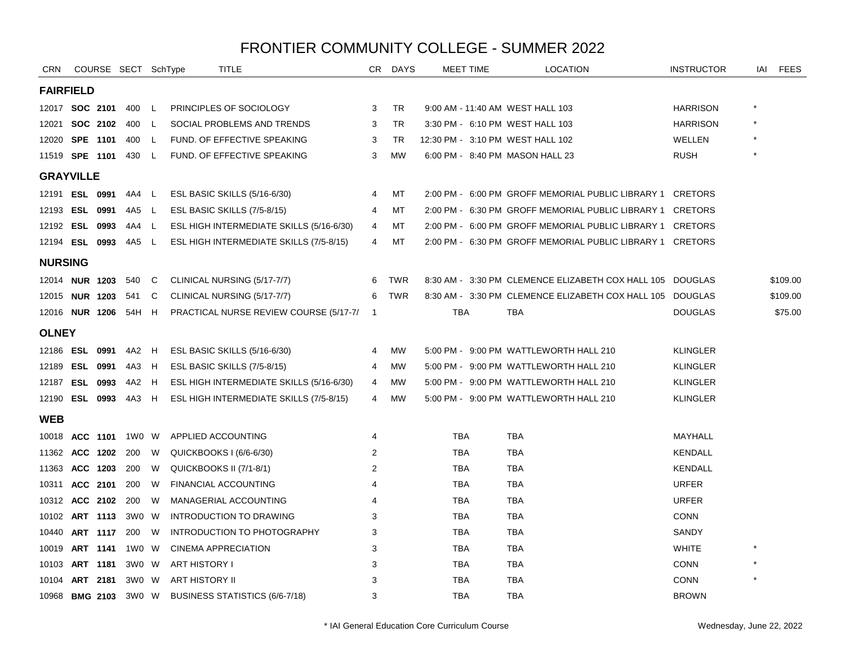| <b>CRN</b>            |                       |          | COURSE SECT SchType |     | TITLE                                    | CR.                      | <b>DAYS</b> | <b>MEET TIME</b>                 | <b>LOCATION</b>                                           | <b>INSTRUCTOR</b> | IAI | <b>FEES</b> |
|-----------------------|-----------------------|----------|---------------------|-----|------------------------------------------|--------------------------|-------------|----------------------------------|-----------------------------------------------------------|-------------------|-----|-------------|
| <b>FAIRFIELD</b>      |                       |          |                     |     |                                          |                          |             |                                  |                                                           |                   |     |             |
|                       | 12017 <b>SOC 2101</b> |          | 400 L               |     | PRINCIPLES OF SOCIOLOGY                  | 3                        | TR          | 9:00 AM - 11:40 AM WEST HALL 103 |                                                           | <b>HARRISON</b>   |     |             |
| 12021                 |                       | SOC 2102 | 400                 | - L | SOCIAL PROBLEMS AND TRENDS               | 3                        | <b>TR</b>   | 3:30 PM - 6:10 PM WEST HALL 103  |                                                           | <b>HARRISON</b>   |     |             |
| 12020 SPE 1101        |                       |          | 400                 | L   | FUND. OF EFFECTIVE SPEAKING              | 3                        | TR          | 12:30 PM - 3:10 PM WEST HALL 102 |                                                           | WELLEN            |     |             |
| 11519 <b>SPE 1101</b> |                       |          | 430                 | - L | FUND. OF EFFECTIVE SPEAKING              | 3                        | <b>MW</b>   | 6:00 PM - 8:40 PM MASON HALL 23  |                                                           | <b>RUSH</b>       |     |             |
| <b>GRAYVILLE</b>      |                       |          |                     |     |                                          |                          |             |                                  |                                                           |                   |     |             |
|                       | 12191 ESL 0991        |          | 4A4                 | L   | ESL BASIC SKILLS (5/16-6/30)             | 4                        | MT          |                                  | 2:00 PM - 6:00 PM GROFF MEMORIAL PUBLIC LIBRARY 1         | <b>CRETORS</b>    |     |             |
| 12193 ESL 0991        |                       |          | 4A5 L               |     | ESL BASIC SKILLS (7/5-8/15)              | 4                        | МT          |                                  | 2:00 PM - 6:30 PM GROFF MEMORIAL PUBLIC LIBRARY 1 CRETORS |                   |     |             |
| 12192 ESL 0993        |                       |          | 4A4                 | L.  | ESL HIGH INTERMEDIATE SKILLS (5/16-6/30) | 4                        | МT          |                                  | 2:00 PM - 6:00 PM GROFF MEMORIAL PUBLIC LIBRARY 1 CRETORS |                   |     |             |
| 12194 ESL 0993        |                       |          | 4A5 L               |     | ESL HIGH INTERMEDIATE SKILLS (7/5-8/15)  | 4                        | МT          |                                  | 2:00 PM - 6:30 PM GROFF MEMORIAL PUBLIC LIBRARY 1 CRETORS |                   |     |             |
| <b>NURSING</b>        |                       |          |                     |     |                                          |                          |             |                                  |                                                           |                   |     |             |
|                       | 12014 NUR 1203        |          | 540                 | C   | CLINICAL NURSING (5/17-7/7)              | 6                        | <b>TWR</b>  |                                  | 8:30 AM - 3:30 PM CLEMENCE ELIZABETH COX HALL 105 DOUGLAS |                   |     | \$109.00    |
|                       | 12015 <b>NUR 1203</b> |          | 541                 | C   | CLINICAL NURSING (5/17-7/7)              | 6                        | <b>TWR</b>  |                                  | 8:30 AM - 3:30 PM CLEMENCE ELIZABETH COX HALL 105 DOUGLAS |                   |     | \$109.00    |
| 12016 NUR 1206        |                       |          | 54H H               |     | PRACTICAL NURSE REVIEW COURSE (5/17-7/   | $\overline{\phantom{1}}$ |             | <b>TBA</b>                       | <b>TBA</b>                                                | <b>DOUGLAS</b>    |     | \$75.00     |
| <b>OLNEY</b>          |                       |          |                     |     |                                          |                          |             |                                  |                                                           |                   |     |             |
| 12186 ESL 0991        |                       |          | 4A2                 | H   | ESL BASIC SKILLS (5/16-6/30)             | 4                        | <b>MW</b>   |                                  | 5:00 PM - 9:00 PM WATTLEWORTH HALL 210                    | <b>KLINGLER</b>   |     |             |
| 12189 ESL 0991        |                       |          | 4A3                 | H   | ESL BASIC SKILLS (7/5-8/15)              | 4                        | <b>MW</b>   |                                  | 5:00 PM - 9:00 PM WATTLEWORTH HALL 210                    | <b>KLINGLER</b>   |     |             |
| 12187 ESL 0993        |                       |          | 4A2                 | H   | ESL HIGH INTERMEDIATE SKILLS (5/16-6/30) | 4                        | МW          |                                  | 5:00 PM - 9:00 PM WATTLEWORTH HALL 210                    | <b>KLINGLER</b>   |     |             |
| 12190 ESL 0993        |                       |          | 4A3 H               |     | ESL HIGH INTERMEDIATE SKILLS (7/5-8/15)  | 4                        | <b>MW</b>   |                                  | 5:00 PM - 9:00 PM WATTLEWORTH HALL 210                    | <b>KLINGLER</b>   |     |             |
| <b>WEB</b>            |                       |          |                     |     |                                          |                          |             |                                  |                                                           |                   |     |             |
|                       | 10018 ACC 1101        |          | 1W0 W               |     | APPLIED ACCOUNTING                       | 4                        |             | TBA                              | <b>TBA</b>                                                | MAYHALL           |     |             |
| 11362 ACC 1202        |                       |          | 200                 | W   | QUICKBOOKS I (6/6-6/30)                  | 2                        |             | <b>TBA</b>                       | <b>TBA</b>                                                | <b>KENDALL</b>    |     |             |
| 11363 ACC 1203        |                       |          | 200                 | W   | QUICKBOOKS II (7/1-8/1)                  | 2                        |             | <b>TBA</b>                       | <b>TBA</b>                                                | <b>KENDALL</b>    |     |             |
|                       | 10311 ACC 2101        |          | 200                 | W   | <b>FINANCIAL ACCOUNTING</b>              | 4                        |             | <b>TBA</b>                       | <b>TBA</b>                                                | <b>URFER</b>      |     |             |
| 10312 ACC 2102        |                       |          | 200                 | W   | MANAGERIAL ACCOUNTING                    | 4                        |             | <b>TBA</b>                       | <b>TBA</b>                                                | <b>URFER</b>      |     |             |
| 10102 ART 1113        |                       |          | 3W0                 | W.  | INTRODUCTION TO DRAWING                  | 3                        |             | <b>TBA</b>                       | <b>TBA</b>                                                | <b>CONN</b>       |     |             |
|                       | 10440 ART 1117        |          | 200                 | W   | INTRODUCTION TO PHOTOGRAPHY              | 3                        |             | <b>TBA</b>                       | <b>TBA</b>                                                | SANDY             |     |             |
|                       | 10019 ART 1141        |          | 1W0 W               |     | <b>CINEMA APPRECIATION</b>               | 3                        |             | <b>TBA</b>                       | <b>TBA</b>                                                | <b>WHITE</b>      |     |             |
| 10103 ART 1181        |                       |          | 3W0 W               |     | ART HISTORY I                            | 3                        |             | TBA                              | TBA                                                       | <b>CONN</b>       |     |             |
| 10104                 |                       | ART 2181 | 3W0 W               |     | <b>ART HISTORY II</b>                    | 3                        |             | TBA                              | <b>TBA</b>                                                | <b>CONN</b>       |     |             |
|                       | 10968 BMG 2103        |          | 3W0 W               |     | BUSINESS STATISTICS (6/6-7/18)           | 3                        |             | <b>TBA</b>                       | <b>TBA</b>                                                | <b>BROWN</b>      |     |             |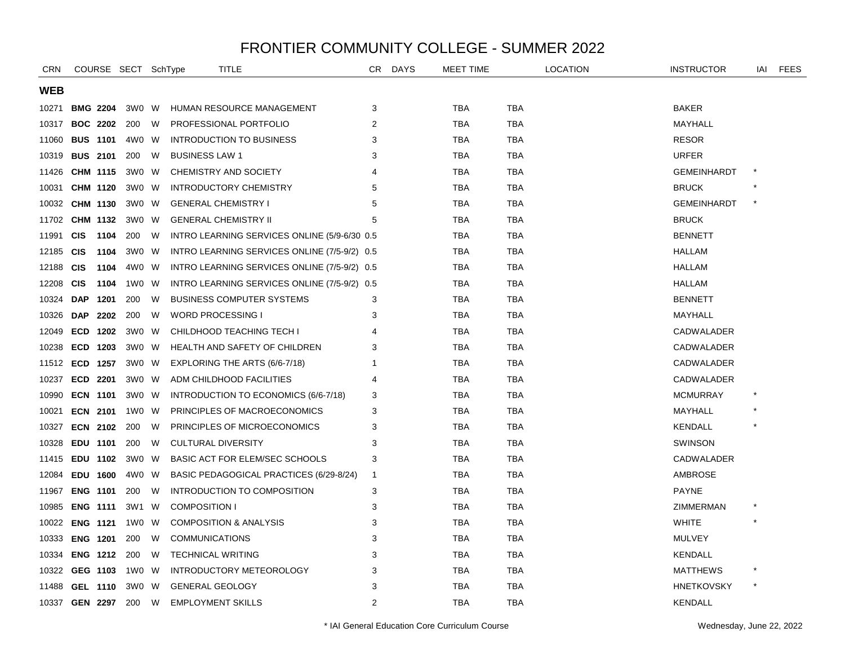| <b>CRN</b> |                 |      | COURSE SECT SchType |   | <b>TITLE</b>                                 |                | CR DAYS | <b>MEET TIME</b> |            | <b>LOCATION</b> | <b>INSTRUCTOR</b>  | IAI     | <b>FEES</b> |
|------------|-----------------|------|---------------------|---|----------------------------------------------|----------------|---------|------------------|------------|-----------------|--------------------|---------|-------------|
| <b>WEB</b> |                 |      |                     |   |                                              |                |         |                  |            |                 |                    |         |             |
| 10271      | <b>BMG 2204</b> |      | 3W0 W               |   | HUMAN RESOURCE MANAGEMENT                    | 3              |         | <b>TBA</b>       | <b>TBA</b> |                 | <b>BAKER</b>       |         |             |
| 10317      | <b>BOC 2202</b> |      | 200                 | W | PROFESSIONAL PORTFOLIO                       | 2              |         | <b>TBA</b>       | <b>TBA</b> |                 | MAYHALL            |         |             |
| 11060      | <b>BUS 1101</b> |      | 4W0 W               |   | <b>INTRODUCTION TO BUSINESS</b>              | 3              |         | <b>TBA</b>       | <b>TBA</b> |                 | <b>RESOR</b>       |         |             |
| 10319      | <b>BUS 2101</b> |      | 200                 | W | <b>BUSINESS LAW 1</b>                        | 3              |         | TBA              | TBA        |                 | <b>URFER</b>       |         |             |
| 11426      | CHM 1115        |      | 3W0 W               |   | CHEMISTRY AND SOCIETY                        | 4              |         | TBA              | TBA        |                 | <b>GEMEINHARDT</b> |         |             |
| 10031      | <b>CHM 1120</b> |      | 3W0 W               |   | <b>INTRODUCTORY CHEMISTRY</b>                | 5              |         | <b>TBA</b>       | <b>TBA</b> |                 | <b>BRUCK</b>       |         |             |
| 10032      | CHM 1130        |      | 3W0 W               |   | <b>GENERAL CHEMISTRY I</b>                   | 5              |         | <b>TBA</b>       | <b>TBA</b> |                 | <b>GEMEINHARDT</b> | $\star$ |             |
| 11702      | CHM 1132        |      | 3W0 W               |   | <b>GENERAL CHEMISTRY II</b>                  | 5              |         | <b>TBA</b>       | <b>TBA</b> |                 | <b>BRUCK</b>       |         |             |
| 11991      | <b>CIS</b>      | 1104 | 200                 | W | INTRO LEARNING SERVICES ONLINE (5/9-6/30 0.5 |                |         | <b>TBA</b>       | <b>TBA</b> |                 | <b>BENNETT</b>     |         |             |
| 12185      | <b>CIS</b>      | 1104 | 3W0 W               |   | INTRO LEARNING SERVICES ONLINE (7/5-9/2) 0.5 |                |         | TBA              | <b>TBA</b> |                 | <b>HALLAM</b>      |         |             |
| 12188      | <b>CIS</b>      | 1104 | 4W0 W               |   | INTRO LEARNING SERVICES ONLINE (7/5-9/2) 0.5 |                |         | TBA              | TBA        |                 | <b>HALLAM</b>      |         |             |
| 12208      | <b>CIS</b>      | 1104 | 1W0 W               |   | INTRO LEARNING SERVICES ONLINE (7/5-9/2) 0.5 |                |         | TBA              | TBA        |                 | <b>HALLAM</b>      |         |             |
| 10324      | <b>DAP</b>      | 1201 | 200                 | W | <b>BUSINESS COMPUTER SYSTEMS</b>             | 3              |         | <b>TBA</b>       | <b>TBA</b> |                 | <b>BENNETT</b>     |         |             |
| 10326      | <b>DAP</b>      | 2202 | 200                 | W | <b>WORD PROCESSING I</b>                     | 3              |         | <b>TBA</b>       | <b>TBA</b> |                 | MAYHALL            |         |             |
| 12049      | <b>ECD</b>      | 1202 | 3W0                 | W | CHILDHOOD TEACHING TECH I                    | 4              |         | <b>TBA</b>       | <b>TBA</b> |                 | <b>CADWALADER</b>  |         |             |
| 10238      | <b>ECD</b>      | 1203 | 3W0 W               |   | HEALTH AND SAFETY OF CHILDREN                | 3              |         | <b>TBA</b>       | <b>TBA</b> |                 | <b>CADWALADER</b>  |         |             |
| 11512      | ECD 1257        |      | 3W0 W               |   | EXPLORING THE ARTS (6/6-7/18)                | 1              |         | <b>TBA</b>       | <b>TBA</b> |                 | CADWALADER         |         |             |
| 10237      | ECD 2201        |      | 3W0 W               |   | ADM CHILDHOOD FACILITIES                     | 4              |         | <b>TBA</b>       | <b>TBA</b> |                 | CADWALADER         |         |             |
| 10990      | <b>ECN 1101</b> |      | 3W0 W               |   | INTRODUCTION TO ECONOMICS (6/6-7/18)         | 3              |         | <b>TBA</b>       | <b>TBA</b> |                 | <b>MCMURRAY</b>    |         |             |
| 10021      | <b>ECN 2101</b> |      | 1W0 W               |   | PRINCIPLES OF MACROECONOMICS                 | 3              |         | <b>TBA</b>       | TBA        |                 | MAYHALL            |         |             |
| 10327      | <b>ECN 2102</b> |      | 200                 | W | PRINCIPLES OF MICROECONOMICS                 | 3              |         | <b>TBA</b>       | <b>TBA</b> |                 | <b>KENDALL</b>     |         |             |
| 10328      | EDU 1101        |      | 200                 | W | <b>CULTURAL DIVERSITY</b>                    | 3              |         | TBA              | <b>TBA</b> |                 | <b>SWINSON</b>     |         |             |
| 11415      | EDU 1102        |      | 3W0                 | W | <b>BASIC ACT FOR ELEM/SEC SCHOOLS</b>        | 3              |         | <b>TBA</b>       | <b>TBA</b> |                 | <b>CADWALADER</b>  |         |             |
| 12084      | <b>EDU 1600</b> |      | 4W0 W               |   | BASIC PEDAGOGICAL PRACTICES (6/29-8/24)      | $\overline{1}$ |         | <b>TBA</b>       | <b>TBA</b> |                 | <b>AMBROSE</b>     |         |             |
| 11967      | <b>ENG 1101</b> |      | 200                 | W | INTRODUCTION TO COMPOSITION                  | 3              |         | <b>TBA</b>       | <b>TBA</b> |                 | <b>PAYNE</b>       |         |             |
| 10985      | <b>ENG 1111</b> |      | 3W1                 | W | <b>COMPOSITION I</b>                         | 3              |         | <b>TBA</b>       | <b>TBA</b> |                 | ZIMMERMAN          |         |             |
| 10022      | <b>ENG 1121</b> |      | 1W0 W               |   | <b>COMPOSITION &amp; ANALYSIS</b>            | 3              |         | <b>TBA</b>       | <b>TBA</b> |                 | WHITE              |         |             |
| 10333      | <b>ENG 1201</b> |      | 200                 | W | <b>COMMUNICATIONS</b>                        | 3              |         | <b>TBA</b>       | <b>TBA</b> |                 | <b>MULVEY</b>      |         |             |
| 10334      | <b>ENG 1212</b> |      | 200                 | W | <b>TECHNICAL WRITING</b>                     | 3              |         | <b>TBA</b>       | <b>TBA</b> |                 | <b>KENDALL</b>     |         |             |
| 10322      | GEG 1103        |      | 1W0 W               |   | INTRODUCTORY METEOROLOGY                     | 3              |         | <b>TBA</b>       | <b>TBA</b> |                 | <b>MATTHEWS</b>    |         |             |
| 11488      | GEL 1110        |      | 3W0                 | W | <b>GENERAL GEOLOGY</b>                       | 3              |         | <b>TBA</b>       | <b>TBA</b> |                 | <b>HNETKOVSKY</b>  |         |             |
| 10337      | <b>GEN 2297</b> |      | 200                 | W | <b>EMPLOYMENT SKILLS</b>                     | $\overline{2}$ |         | <b>TBA</b>       | <b>TBA</b> |                 | <b>KENDALL</b>     |         |             |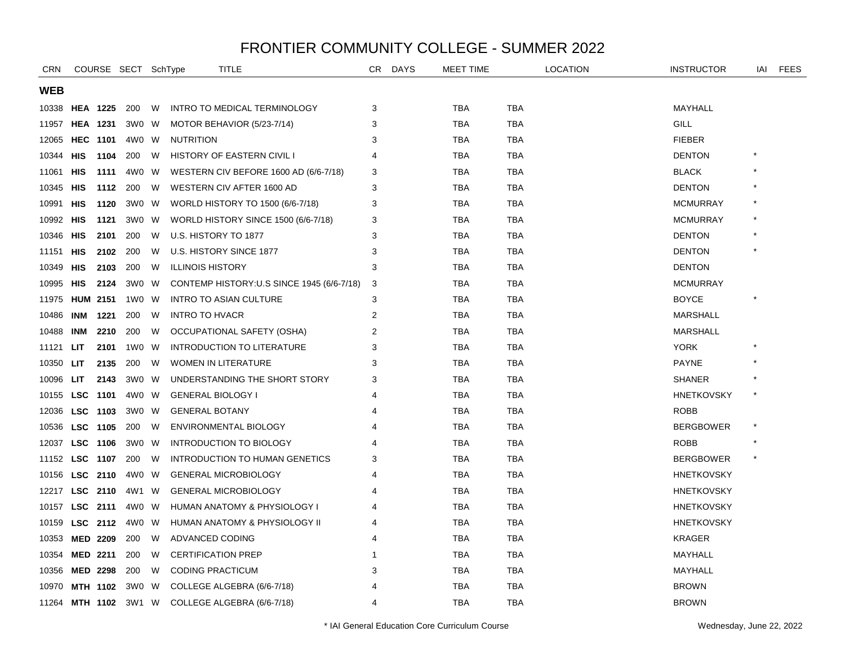| <b>CRN</b>     |                 |                 | COURSE SECT SchType |   | <b>TITLE</b>                               | CR | <b>DAYS</b> | <b>MEET TIME</b> |            | <b>LOCATION</b> | <b>INSTRUCTOR</b> | IAI         | FEES |
|----------------|-----------------|-----------------|---------------------|---|--------------------------------------------|----|-------------|------------------|------------|-----------------|-------------------|-------------|------|
| WEB            |                 |                 |                     |   |                                            |    |             |                  |            |                 |                   |             |      |
| 10338          | <b>HEA 1225</b> |                 | 200                 | W | INTRO TO MEDICAL TERMINOLOGY               | 3  |             | <b>TBA</b>       | <b>TBA</b> |                 | MAYHALL           |             |      |
| 11957          |                 | <b>HEA 1231</b> | 3W0                 | W | MOTOR BEHAVIOR (5/23-7/14)                 | 3  |             | <b>TBA</b>       | <b>TBA</b> |                 | GILL              |             |      |
| 12065 HEC 1101 |                 |                 | 4W0 W               |   | <b>NUTRITION</b>                           | 3  |             | <b>TBA</b>       | <b>TBA</b> |                 | <b>FIEBER</b>     |             |      |
| 10344          | HIS             | 1104            | 200                 | W | <b>HISTORY OF EASTERN CIVIL I</b>          | 4  |             | <b>TBA</b>       | <b>TBA</b> |                 | <b>DENTON</b>     |             |      |
| 11061          | <b>HIS</b>      | 1111            | 4W0                 | W | WESTERN CIV BEFORE 1600 AD (6/6-7/18)      | 3  |             | <b>TBA</b>       | <b>TBA</b> |                 | <b>BLACK</b>      |             |      |
| 10345          | HIS             | 1112            | 200                 | W | WESTERN CIV AFTER 1600 AD                  | 3  |             | <b>TBA</b>       | <b>TBA</b> |                 | <b>DENTON</b>     |             |      |
| 10991          | HIS             | 1120            | 3W0                 | W | WORLD HISTORY TO 1500 (6/6-7/18)           | 3  |             | <b>TBA</b>       | <b>TBA</b> |                 | <b>MCMURRAY</b>   |             |      |
| 10992 HIS      |                 | 1121            | 3W0 W               |   | WORLD HISTORY SINCE 1500 (6/6-7/18)        | 3  |             | <b>TBA</b>       | <b>TBA</b> |                 | <b>MCMURRAY</b>   |             |      |
| 10346          | HIS             | 2101            | 200                 | W | U.S. HISTORY TO 1877                       | 3  |             | <b>TBA</b>       | TBA        |                 | <b>DENTON</b>     |             |      |
| 11151          | HIS             | 2102            | 200                 | W | U.S. HISTORY SINCE 1877                    | 3  |             | <b>TBA</b>       | <b>TBA</b> |                 | <b>DENTON</b>     |             |      |
| 10349          | HIS             | 2103            | 200                 | W | <b>ILLINOIS HISTORY</b>                    | 3  |             | <b>TBA</b>       | TBA        |                 | <b>DENTON</b>     |             |      |
| 10995 HIS      |                 | 2124            | 3W0                 | W | CONTEMP HISTORY: U.S SINCE 1945 (6/6-7/18) | 3  |             | <b>TBA</b>       | <b>TBA</b> |                 | <b>MCMURRAY</b>   |             |      |
| 11975 HUM 2151 |                 |                 | 1W0 W               |   | <b>INTRO TO ASIAN CULTURE</b>              | 3  |             | <b>TBA</b>       | TBA        |                 | <b>BOYCE</b>      |             |      |
| 10486          | INM             | 1221            | 200                 | W | <b>INTRO TO HVACR</b>                      | 2  |             | <b>TBA</b>       | <b>TBA</b> |                 | <b>MARSHALL</b>   |             |      |
| 10488          | INM             | 2210            | 200                 | W | OCCUPATIONAL SAFETY (OSHA)                 | 2  |             | <b>TBA</b>       | <b>TBA</b> |                 | <b>MARSHALL</b>   |             |      |
| 11121          | LIT.            | 2101            | 1W0                 | W | <b>INTRODUCTION TO LITERATURE</b>          | 3  |             | <b>TBA</b>       | TBA        |                 | <b>YORK</b>       |             |      |
| 10350          | LIT.            | 2135            | 200                 | W | <b>WOMEN IN LITERATURE</b>                 | 3  |             | TBA              | <b>TBA</b> |                 | <b>PAYNE</b>      |             |      |
| 10096          | <b>LIT</b>      | 2143            | 3W0 W               |   | UNDERSTANDING THE SHORT STORY              | 3  |             | <b>TBA</b>       | <b>TBA</b> |                 | <b>SHANER</b>     |             |      |
| 10155 LSC 1101 |                 |                 | 4W0 W               |   | <b>GENERAL BIOLOGY I</b>                   | 4  |             | <b>TBA</b>       | <b>TBA</b> |                 | <b>HNETKOVSKY</b> | $\star$     |      |
| 12036          |                 | LSC 1103        | 3W0 W               |   | <b>GENERAL BOTANY</b>                      | 4  |             | <b>TBA</b>       | TBA        |                 | <b>ROBB</b>       |             |      |
| 10536          |                 | LSC 1105        | 200                 | W | ENVIRONMENTAL BIOLOGY                      | 4  |             | <b>TBA</b>       | TBA        |                 | <b>BERGBOWER</b>  | ${}^{\ast}$ |      |
| 12037          |                 | LSC 1106        | 3W0                 | W | <b>INTRODUCTION TO BIOLOGY</b>             | 4  |             | <b>TBA</b>       | <b>TBA</b> |                 | <b>ROBB</b>       |             |      |
| 11152          |                 | LSC 1107        | 200                 | W | <b>INTRODUCTION TO HUMAN GENETICS</b>      | 3  |             | <b>TBA</b>       | <b>TBA</b> |                 | <b>BERGBOWER</b>  | $\star$     |      |
| 10156          |                 | LSC 2110        | 4W0 W               |   | <b>GENERAL MICROBIOLOGY</b>                | 4  |             | <b>TBA</b>       | TBA        |                 | <b>HNETKOVSKY</b> |             |      |
| 12217          |                 | LSC 2110        | 4W1 W               |   | <b>GENERAL MICROBIOLOGY</b>                | 4  |             | <b>TBA</b>       | <b>TBA</b> |                 | <b>HNETKOVSKY</b> |             |      |
| 10157          |                 | LSC 2111        | 4W0 W               |   | HUMAN ANATOMY & PHYSIOLOGY I               |    |             | <b>TBA</b>       | <b>TBA</b> |                 | <b>HNETKOVSKY</b> |             |      |
| 10159          |                 | LSC 2112        | 4W0 W               |   | HUMAN ANATOMY & PHYSIOLOGY II              | 4  |             | <b>TBA</b>       | <b>TBA</b> |                 | <b>HNETKOVSKY</b> |             |      |
| 10353          |                 | <b>MED 2209</b> | 200                 | W | ADVANCED CODING                            | 4  |             | <b>TBA</b>       | <b>TBA</b> |                 | <b>KRAGER</b>     |             |      |
| 10354          |                 | <b>MED 2211</b> | 200                 | W | <b>CERTIFICATION PREP</b>                  | 1  |             | <b>TBA</b>       | <b>TBA</b> |                 | MAYHALL           |             |      |
| 10356          |                 | <b>MED 2298</b> | 200                 | W | <b>CODING PRACTICUM</b>                    | 3  |             | <b>TBA</b>       | <b>TBA</b> |                 | MAYHALL           |             |      |
| 10970          |                 | MTH 1102        | 3W0                 | W | COLLEGE ALGEBRA (6/6-7/18)                 |    |             | <b>TBA</b>       | <b>TBA</b> |                 | <b>BROWN</b>      |             |      |
| 11264 MTH 1102 |                 |                 | 3W1 W               |   | COLLEGE ALGEBRA (6/6-7/18)                 | 4  |             | <b>TBA</b>       | <b>TBA</b> |                 | <b>BROWN</b>      |             |      |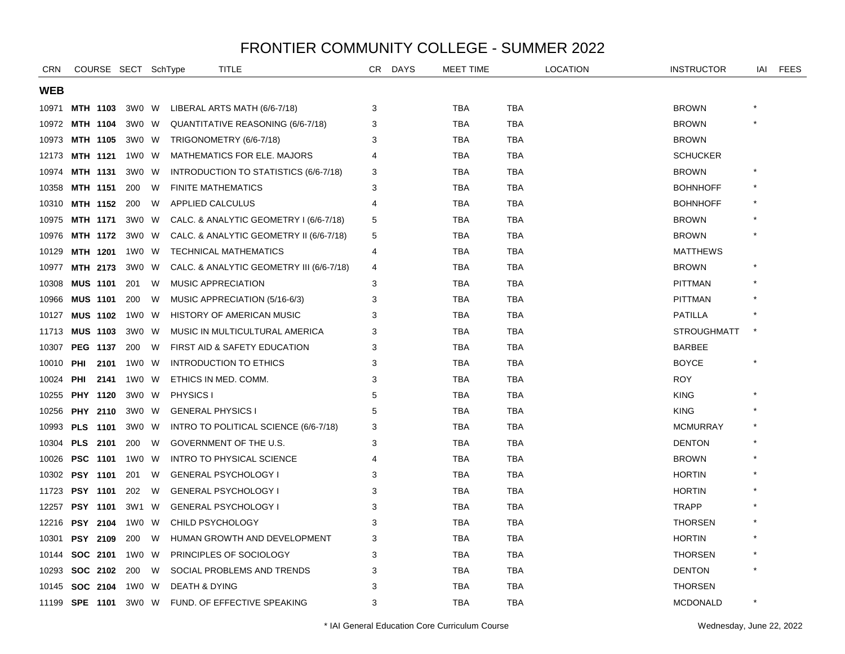| <b>CRN</b> |                 |      | COURSE SECT SchType |   | <b>TITLE</b>                             | CR | <b>DAYS</b> | <b>MEET TIME</b> |            | <b>LOCATION</b> | <b>INSTRUCTOR</b>  | IAI | <b>FEES</b> |
|------------|-----------------|------|---------------------|---|------------------------------------------|----|-------------|------------------|------------|-----------------|--------------------|-----|-------------|
| WEB        |                 |      |                     |   |                                          |    |             |                  |            |                 |                    |     |             |
| 10971      | MTH 1103        |      | 3W0 W               |   | LIBERAL ARTS MATH (6/6-7/18)             | 3  |             | <b>TBA</b>       | <b>TBA</b> |                 | <b>BROWN</b>       |     |             |
| 10972      | <b>MTH 1104</b> |      | 3W0 W               |   | QUANTITATIVE REASONING (6/6-7/18)        | 3  |             | <b>TBA</b>       | TBA        |                 | <b>BROWN</b>       |     |             |
| 10973      | <b>MTH 1105</b> |      | 3W0 W               |   | TRIGONOMETRY (6/6-7/18)                  | 3  |             | <b>TBA</b>       | <b>TBA</b> |                 | <b>BROWN</b>       |     |             |
| 12173      | MTH 1121        |      | 1W0                 | W | <b>MATHEMATICS FOR ELE. MAJORS</b>       | 4  |             | <b>TBA</b>       | <b>TBA</b> |                 | <b>SCHUCKER</b>    |     |             |
| 10974      | <b>MTH 1131</b> |      | 3W0                 | W | INTRODUCTION TO STATISTICS (6/6-7/18)    | 3  |             | <b>TBA</b>       | <b>TBA</b> |                 | <b>BROWN</b>       |     |             |
| 10358      | <b>MTH 1151</b> |      | 200                 | W | <b>FINITE MATHEMATICS</b>                | 3  |             | <b>TBA</b>       | TBA        |                 | <b>BOHNHOFF</b>    |     |             |
| 10310      | MTH 1152        |      | 200                 | W | APPLIED CALCULUS                         | 4  |             | <b>TBA</b>       | TBA        |                 | <b>BOHNHOFF</b>    |     |             |
| 10975      | MTH 1171        |      | 3WO W               |   | CALC. & ANALYTIC GEOMETRY I (6/6-7/18)   | 5  |             | <b>TBA</b>       | <b>TBA</b> |                 | <b>BROWN</b>       |     |             |
| 10976      | MTH 1172        |      | 3W0 W               |   | CALC. & ANALYTIC GEOMETRY II (6/6-7/18)  | 5  |             | <b>TBA</b>       | <b>TBA</b> |                 | <b>BROWN</b>       |     |             |
| 10129      | <b>MTH 1201</b> |      | 1W0 W               |   | TECHNICAL MATHEMATICS                    | 4  |             | <b>TBA</b>       | TBA        |                 | <b>MATTHEWS</b>    |     |             |
| 10977      | MTH 2173        |      | 3W0                 | W | CALC. & ANALYTIC GEOMETRY III (6/6-7/18) | 4  |             | <b>TBA</b>       | TBA        |                 | <b>BROWN</b>       |     |             |
| 10308      | <b>MUS 1101</b> |      | 201                 | W | MUSIC APPRECIATION                       | 3  |             | <b>TBA</b>       | TBA        |                 | <b>PITTMAN</b>     |     |             |
| 10966      | <b>MUS 1101</b> |      | 200                 | W | MUSIC APPRECIATION (5/16-6/3)            | 3  |             | <b>TBA</b>       | <b>TBA</b> |                 | <b>PITTMAN</b>     |     |             |
| 10127      | <b>MUS 1102</b> |      | 1W0 W               |   | <b>HISTORY OF AMERICAN MUSIC</b>         | 3  |             | <b>TBA</b>       | <b>TBA</b> |                 | <b>PATILLA</b>     |     |             |
| 11713      | <b>MUS 1103</b> |      | 3W0                 | W | MUSIC IN MULTICULTURAL AMERICA           | 3  |             | <b>TBA</b>       | TBA        |                 | <b>STROUGHMATT</b> |     |             |
| 10307      | <b>PEG 1137</b> |      | 200                 | W | FIRST AID & SAFETY EDUCATION             | 3  |             | <b>TBA</b>       | <b>TBA</b> |                 | <b>BARBEE</b>      |     |             |
| 10010      | PHI             | 2101 | 1W0                 | W | <b>INTRODUCTION TO ETHICS</b>            | 3  |             | <b>TBA</b>       | <b>TBA</b> |                 | <b>BOYCE</b>       |     |             |
| 10024      | PHI             | 2141 | 1W0 W               |   | ETHICS IN MED. COMM.                     | 3  |             | <b>TBA</b>       | <b>TBA</b> |                 | <b>ROY</b>         |     |             |
| 10255      | PHY 1120        |      | 3W0 W               |   | PHYSICS I                                | 5  |             | <b>TBA</b>       | TBA        |                 | <b>KING</b>        |     |             |
| 10256      | PHY 2110        |      | 3W0                 | W | <b>GENERAL PHYSICS I</b>                 | 5  |             | <b>TBA</b>       | TBA        |                 | <b>KING</b>        |     |             |
| 10993      | <b>PLS</b> 1101 |      | 3W0                 | W | INTRO TO POLITICAL SCIENCE (6/6-7/18)    | 3  |             | <b>TBA</b>       | TBA        |                 | <b>MCMURRAY</b>    |     |             |
| 10304      | <b>PLS</b> 2101 |      | 200                 | W | GOVERNMENT OF THE U.S.                   | 3  |             | <b>TBA</b>       | TBA        |                 | <b>DENTON</b>      |     |             |
| 10026      | <b>PSC 1101</b> |      | 1W0                 | W | <b>INTRO TO PHYSICAL SCIENCE</b>         | 4  |             | <b>TBA</b>       | <b>TBA</b> |                 | <b>BROWN</b>       |     |             |
| 10302      | <b>PSY 1101</b> |      | 201                 | W | <b>GENERAL PSYCHOLOGY I</b>              | 3  |             | <b>TBA</b>       | <b>TBA</b> |                 | <b>HORTIN</b>      |     |             |
| 11723      | <b>PSY 1101</b> |      | 202                 | W | <b>GENERAL PSYCHOLOGY I</b>              | 3  |             | <b>TBA</b>       | <b>TBA</b> |                 | <b>HORTIN</b>      |     |             |
| 12257      | <b>PSY 1101</b> |      | 3W1                 | W | <b>GENERAL PSYCHOLOGY I</b>              | 3  |             | <b>TBA</b>       | TBA        |                 | <b>TRAPP</b>       |     |             |
| 12216      | <b>PSY 2104</b> |      | 1W0 W               |   | CHILD PSYCHOLOGY                         | 3  |             | <b>TBA</b>       | <b>TBA</b> |                 | <b>THORSEN</b>     |     |             |
| 10301      | <b>PSY 2109</b> |      | 200                 | W | HUMAN GROWTH AND DEVELOPMENT             | 3  |             | <b>TBA</b>       | <b>TBA</b> |                 | <b>HORTIN</b>      |     |             |
| 10144      | SOC 2101        |      | 1W0                 | W | PRINCIPLES OF SOCIOLOGY                  | 3  |             | <b>TBA</b>       | <b>TBA</b> |                 | <b>THORSEN</b>     |     |             |
| 10293      | SOC 2102        |      | 200                 | W | SOCIAL PROBLEMS AND TRENDS               | 3  |             | <b>TBA</b>       | TBA        |                 | <b>DENTON</b>      |     |             |
| 10145      | SOC 2104        |      | 1W0                 | W | <b>DEATH &amp; DYING</b>                 | 3  |             | <b>TBA</b>       | TBA        |                 | <b>THORSEN</b>     |     |             |
|            | 11199 SPE 1101  |      | 3W0 W               |   | FUND. OF EFFECTIVE SPEAKING              | 3  |             | <b>TBA</b>       | <b>TBA</b> |                 | <b>MCDONALD</b>    |     |             |